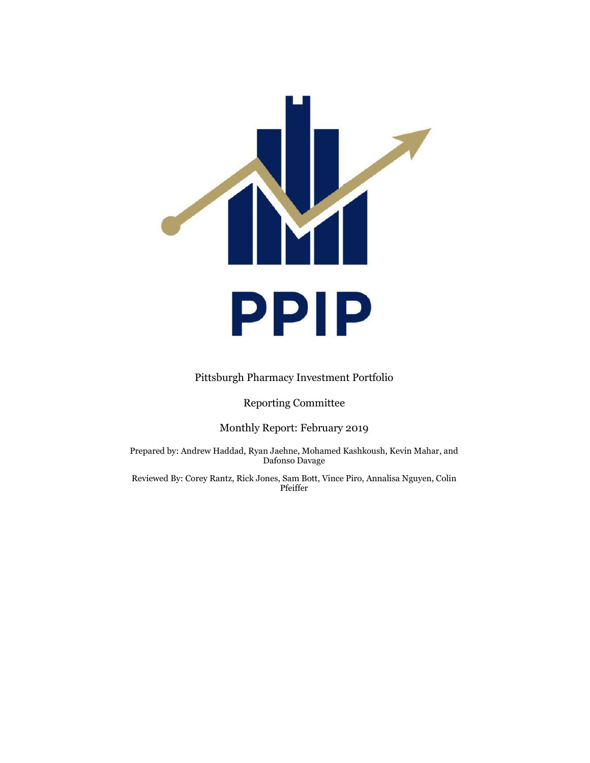

#### Pittsburgh Pharmacy Investment Portfolio

## Reporting Committee

#### Monthly Report: February 2019

Prepared by: Andrew Haddad, Ryan Jaehne, Mohamed Kashkoush, Kevin Mahar, and Dafonso Davage

Reviewed By: Corey Rantz, Rick Jones, Sam Bott, Vince Piro, Annalisa Nguyen, Colin Pfeiffer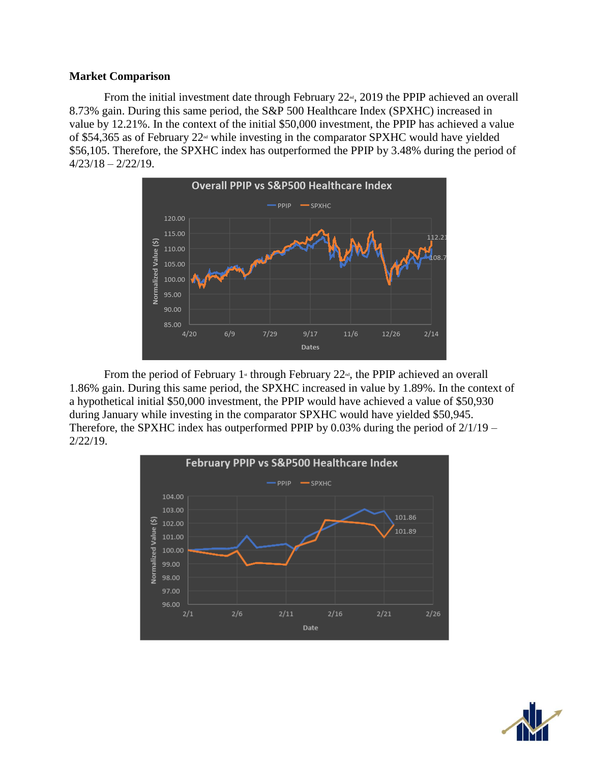## **Market Comparison**

From the initial investment date through February  $22<sup>nd</sup>$ , 2019 the PPIP achieved an overall 8.73% gain. During this same period, the S&P 500 Healthcare Index (SPXHC) increased in value by 12.21%. In the context of the initial \$50,000 investment, the PPIP has achieved a value of \$54,365 as of February  $22^{\omega}$  while investing in the comparator SPXHC would have yielded \$56,105. Therefore, the SPXHC index has outperformed the PPIP by 3.48% during the period of  $4/23/18 - 2/22/19$ .



From the period of February 1<sup>st</sup> through February 22<sup>nd</sup>, the PPIP achieved an overall 1.86% gain. During this same period, the SPXHC increased in value by 1.89%. In the context of a hypothetical initial \$50,000 investment, the PPIP would have achieved a value of \$50,930 during January while investing in the comparator SPXHC would have yielded \$50,945. Therefore, the SPXHC index has outperformed PPIP by  $0.03\%$  during the period of  $2/1/19$  – 2/22/19.



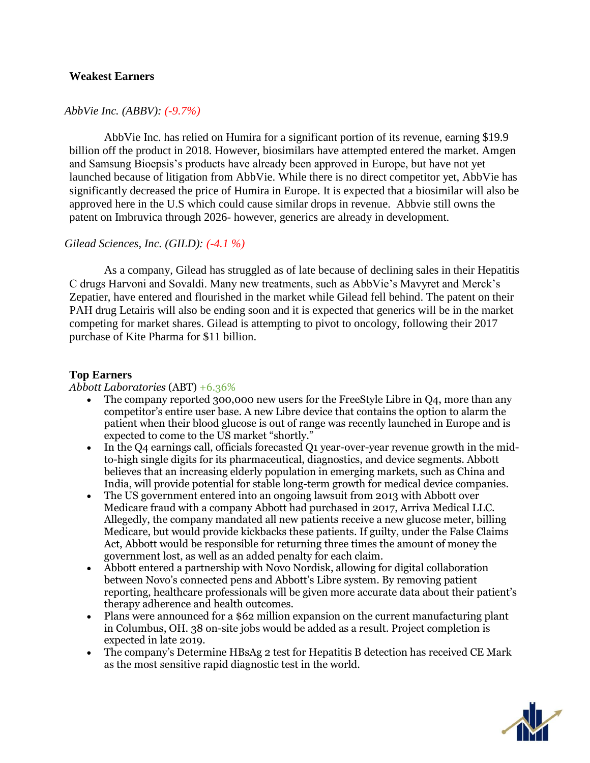# **Weakest Earners**

# *AbbVie Inc. (ABBV): (-9.7%)*

AbbVie Inc. has relied on Humira for a significant portion of its revenue, earning \$19.9 billion off the product in 2018. However, biosimilars have attempted entered the market. Amgen and Samsung Bioepsis's products have already been approved in Europe, but have not yet launched because of litigation from AbbVie. While there is no direct competitor yet, AbbVie has significantly decreased the price of Humira in Europe. It is expected that a biosimilar will also be approved here in the U.S which could cause similar drops in revenue. Abbvie still owns the patent on Imbruvica through 2026- however, generics are already in development.

# *Gilead Sciences, Inc. (GILD): (-4.1 %)*

As a company, Gilead has struggled as of late because of declining sales in their Hepatitis C drugs Harvoni and Sovaldi. Many new treatments, such as AbbVie's Mavyret and Merck's Zepatier, have entered and flourished in the market while Gilead fell behind. The patent on their PAH drug Letairis will also be ending soon and it is expected that generics will be in the market competing for market shares. Gilead is attempting to pivot to oncology, following their 2017 purchase of Kite Pharma for \$11 billion.

### **Top Earners**

#### *Abbott Laboratories* (ABT) +6.36%

- The company reported 300,000 new users for the FreeStyle Libre in Q4, more than any competitor's entire user base. A new Libre device that contains the option to alarm the patient when their blood glucose is out of range was recently launched in Europe and is expected to come to the US market "shortly."
- In the Q4 earnings call, officials forecasted Q1 year-over-year revenue growth in the midto-high single digits for its pharmaceutical, diagnostics, and device segments. Abbott believes that an increasing elderly population in emerging markets, such as China and India, will provide potential for stable long-term growth for medical device companies.
- The US government entered into an ongoing lawsuit from 2013 with Abbott over Medicare fraud with a company Abbott had purchased in 2017, Arriva Medical LLC. Allegedly, the company mandated all new patients receive a new glucose meter, billing Medicare, but would provide kickbacks these patients. If guilty, under the False Claims Act, Abbott would be responsible for returning three times the amount of money the government lost, as well as an added penalty for each claim.
- Abbott entered a partnership with Novo Nordisk, allowing for digital collaboration between Novo's connected pens and Abbott's Libre system. By removing patient reporting, healthcare professionals will be given more accurate data about their patient's therapy adherence and health outcomes.
- Plans were announced for a \$62 million expansion on the current manufacturing plant in Columbus, OH. 38 on-site jobs would be added as a result. Project completion is expected in late 2019.
- The company's Determine HBsAg 2 test for Hepatitis B detection has received CE Mark as the most sensitive rapid diagnostic test in the world.

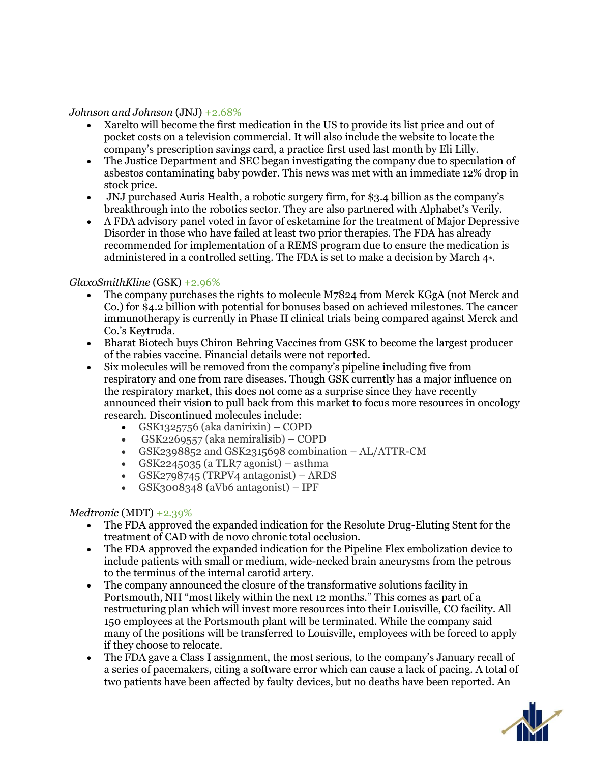# *Johnson and Johnson* (JNJ) +2.68%

- Xarelto will become the first medication in the US to provide its list price and out of pocket costs on a television commercial. It will also include the website to locate the company's prescription savings card, a practice first used last month by Eli Lilly.
- The Justice Department and SEC began investigating the company due to speculation of asbestos contaminating baby powder. This news was met with an immediate 12% drop in stock price.
- JNJ purchased Auris Health, a robotic surgery firm, for \$3.4 billion as the company's breakthrough into the robotics sector. They are also partnered with Alphabet's Verily.
- A FDA advisory panel voted in favor of esketamine for the treatment of Major Depressive Disorder in those who have failed at least two prior therapies. The FDA has already recommended for implementation of a REMS program due to ensure the medication is administered in a controlled setting. The FDA is set to make a decision by March  $4<sup>th</sup>$ .

### *GlaxoSmithKline* (GSK) +2.96%

- The company purchases the rights to molecule M7824 from Merck KGgA (not Merck and Co.) for \$4.2 billion with potential for bonuses based on achieved milestones. The cancer immunotherapy is currently in Phase II clinical trials being compared against Merck and Co.'s Keytruda.
- Bharat Biotech buys Chiron Behring Vaccines from GSK to become the largest producer of the rabies vaccine. Financial details were not reported.
- Six molecules will be removed from the company's pipeline including five from respiratory and one from rare diseases. Though GSK currently has a major influence on the respiratory market, this does not come as a surprise since they have recently announced their vision to pull back from this market to focus more resources in oncology research. Discontinued molecules include:
	- GSK1325756 (aka danirixin) COPD
	- GSK2269557 (aka nemiralisib) COPD
	- GSK2398852 and GSK2315698 combination AL/ATTR-CM
	- GSK2245035 (a TLR7 agonist) asthma
	- GSK2798745 (TRPV4 antagonist) ARDS
	- $GSK<sub>3</sub>008<sub>34</sub>8$  (aVb6 antagonist) IPF

# *Medtronic* (MDT) +2.39%

- The FDA approved the expanded indication for the Resolute Drug-Eluting Stent for the treatment of CAD with de novo chronic total occlusion.
- The FDA approved the expanded indication for the Pipeline Flex embolization device to include patients with small or medium, wide-necked brain aneurysms from the petrous to the terminus of the internal carotid artery.
- The company announced the closure of the transformative solutions facility in Portsmouth, NH "most likely within the next 12 months." This comes as part of a restructuring plan which will invest more resources into their Louisville, CO facility. All 150 employees at the Portsmouth plant will be terminated. While the company said many of the positions will be transferred to Louisville, employees with be forced to apply if they choose to relocate.
- The FDA gave a Class I assignment, the most serious, to the company's January recall of a series of pacemakers, citing a software error which can cause a lack of pacing. A total of two patients have been affected by faulty devices, but no deaths have been reported. An

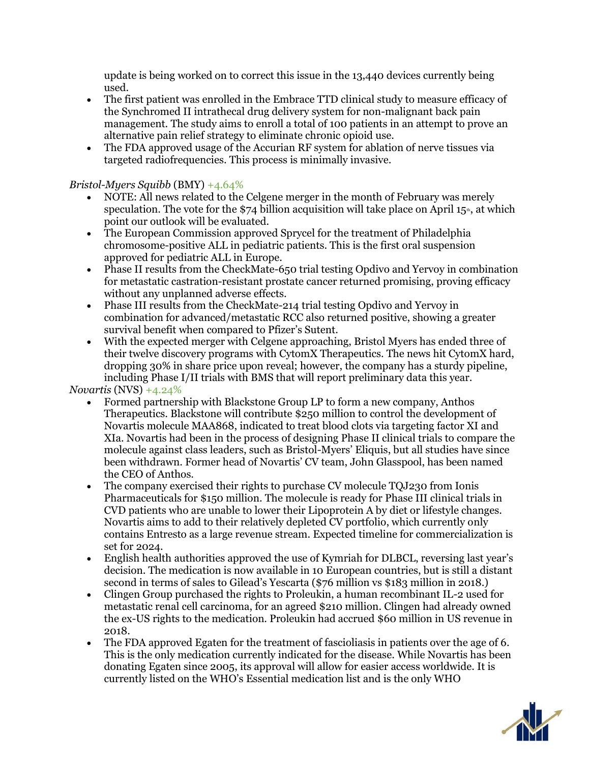update is being worked on to correct this issue in the 13,440 devices currently being used.

- The first patient was enrolled in the Embrace TTD clinical study to measure efficacy of the Synchromed II intrathecal drug delivery system for non-malignant back pain management. The study aims to enroll a total of 100 patients in an attempt to prove an alternative pain relief strategy to eliminate chronic opioid use.
- The FDA approved usage of the Accurian RF system for ablation of nerve tissues via targeted radiofrequencies. This process is minimally invasive.

# *Bristol-Myers Squibb* (BMY) +4.64%

- NOTE: All news related to the Celgene merger in the month of February was merely speculation. The vote for the \$74 billion acquisition will take place on April  $15<sup>*</sup>$ , at which point our outlook will be evaluated.
- The European Commission approved Sprycel for the treatment of Philadelphia chromosome-positive ALL in pediatric patients. This is the first oral suspension approved for pediatric ALL in Europe.
- Phase II results from the CheckMate-650 trial testing Opdivo and Yervoy in combination for metastatic castration-resistant prostate cancer returned promising, proving efficacy without any unplanned adverse effects.
- Phase III results from the CheckMate-214 trial testing Opdivo and Yervoy in combination for advanced/metastatic RCC also returned positive, showing a greater survival benefit when compared to Pfizer's Sutent.
- With the expected merger with Celgene approaching, Bristol Myers has ended three of their twelve discovery programs with CytomX Therapeutics. The news hit CytomX hard, dropping 30% in share price upon reveal; however, the company has a sturdy pipeline, including Phase I/II trials with BMS that will report preliminary data this year.

# *Novartis* (NVS) +4.24%

- Formed partnership with Blackstone Group LP to form a new company, Anthos Therapeutics. Blackstone will contribute \$250 million to control the development of Novartis molecule MAA868, indicated to treat blood clots via targeting factor XI and XIa. Novartis had been in the process of designing Phase II clinical trials to compare the molecule against class leaders, such as Bristol-Myers' Eliquis, but all studies have since been withdrawn. Former head of Novartis' CV team, John Glasspool, has been named the CEO of Anthos.
- The company exercised their rights to purchase CV molecule TQJ230 from Ionis Pharmaceuticals for \$150 million. The molecule is ready for Phase III clinical trials in CVD patients who are unable to lower their Lipoprotein A by diet or lifestyle changes. Novartis aims to add to their relatively depleted CV portfolio, which currently only contains Entresto as a large revenue stream. Expected timeline for commercialization is set for 2024.
- English health authorities approved the use of Kymriah for DLBCL, reversing last year's decision. The medication is now available in 10 European countries, but is still a distant second in terms of sales to Gilead's Yescarta (\$76 million vs \$183 million in 2018.)
- Clingen Group purchased the rights to Proleukin, a human recombinant IL-2 used for metastatic renal cell carcinoma, for an agreed \$210 million. Clingen had already owned the ex-US rights to the medication. Proleukin had accrued \$60 million in US revenue in 2018.
- The FDA approved Egaten for the treatment of fascioliasis in patients over the age of 6. This is the only medication currently indicated for the disease. While Novartis has been donating Egaten since 2005, its approval will allow for easier access worldwide. It is currently listed on the WHO's Essential medication list and is the only WHO